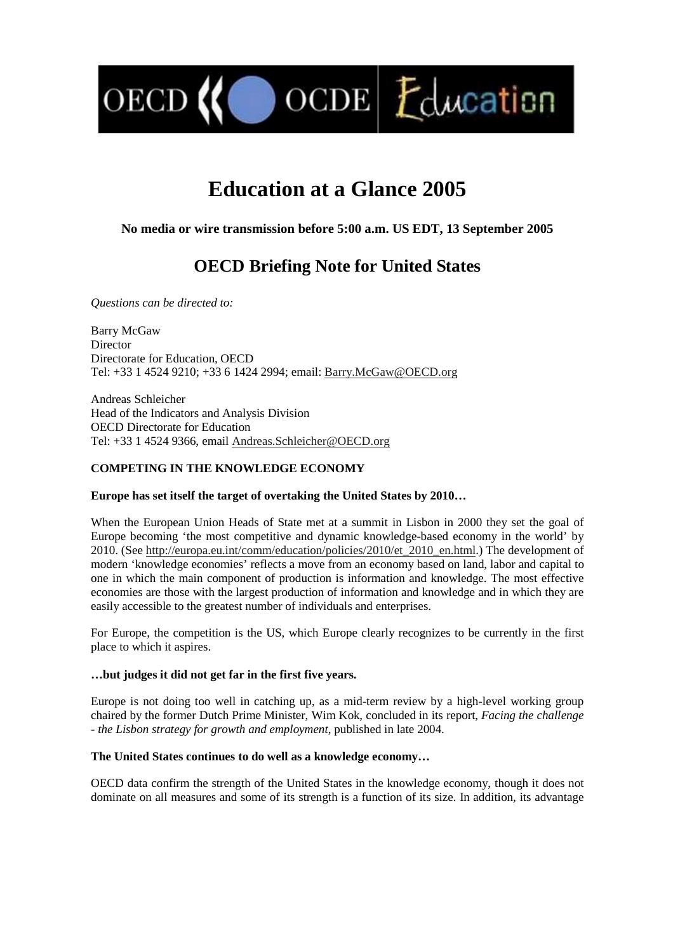$\bigcirc$  OCDE  $E$  ducation

# **Education at a Glance 2005**

# **No media or wire transmission before 5:00 a.m. US EDT, 13 September 2005**

# **OECD Briefing Note for United States**

*Questions can be directed to:* 

OECD<sup>(</sup>

Barry McGaw Director Directorate for Education, OECD Tel: +33 1 4524 9210; +33 6 1424 2994; email: Barry.McGaw@OECD.org

Andreas Schleicher Head of the Indicators and Analysis Division OECD Directorate for Education Tel: +33 1 4524 9366, email Andreas.Schleicher@OECD.org

# **COMPETING IN THE KNOWLEDGE ECONOMY**

# **Europe has set itself the target of overtaking the United States by 2010…**

When the European Union Heads of State met at a summit in Lisbon in 2000 they set the goal of Europe becoming 'the most competitive and dynamic knowledge-based economy in the world' by 2010. (See http://europa.eu.int/comm/education/policies/2010/et\_2010\_en.html.) The development of modern 'knowledge economies' reflects a move from an economy based on land, labor and capital to one in which the main component of production is information and knowledge. The most effective economies are those with the largest production of information and knowledge and in which they are easily accessible to the greatest number of individuals and enterprises.

For Europe, the competition is the US, which Europe clearly recognizes to be currently in the first place to which it aspires.

# **…but judges it did not get far in the first five years.**

Europe is not doing too well in catching up, as a mid-term review by a high-level working group chaired by the former Dutch Prime Minister, Wim Kok, concluded in its report, *Facing the challenge - the Lisbon strategy for growth and employment*, published in late 2004.

# **The United States continues to do well as a knowledge economy…**

OECD data confirm the strength of the United States in the knowledge economy, though it does not dominate on all measures and some of its strength is a function of its size. In addition, its advantage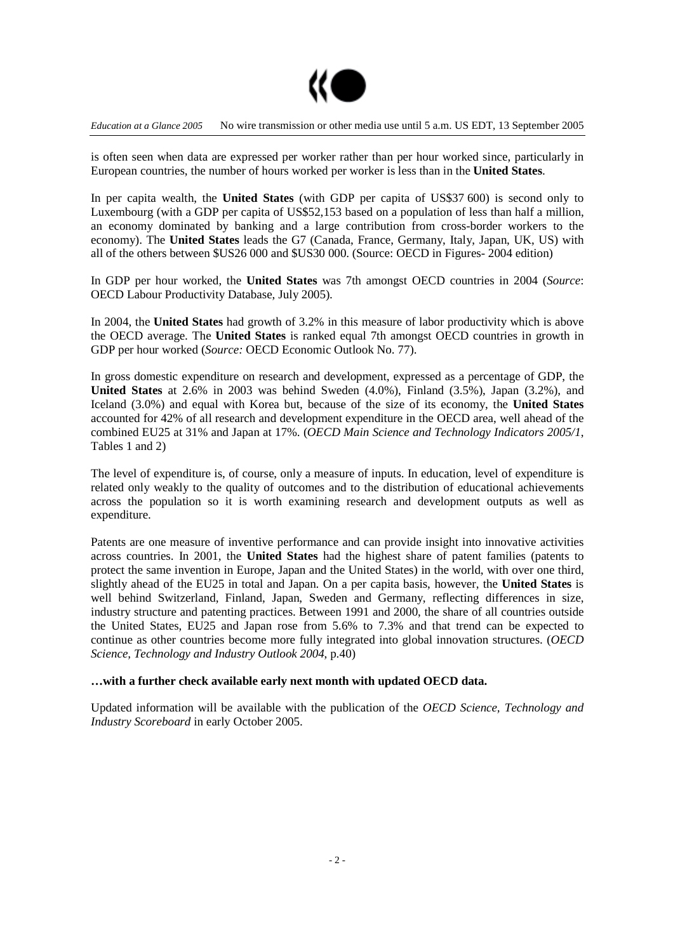

is often seen when data are expressed per worker rather than per hour worked since, particularly in European countries, the number of hours worked per worker is less than in the **United States**.

In per capita wealth, the **United States** (with GDP per capita of US\$37 600) is second only to Luxembourg (with a GDP per capita of US\$52,153 based on a population of less than half a million, an economy dominated by banking and a large contribution from cross-border workers to the economy). The **United States** leads the G7 (Canada, France, Germany, Italy, Japan, UK, US) with all of the others between \$US26 000 and \$US30 000. (Source: OECD in Figures- 2004 edition)

In GDP per hour worked, the **United States** was 7th amongst OECD countries in 2004 (*Source*: OECD Labour Productivity Database, July 2005).

In 2004, the **United States** had growth of 3.2% in this measure of labor productivity which is above the OECD average. The **United States** is ranked equal 7th amongst OECD countries in growth in GDP per hour worked (*Source:* OECD Economic Outlook No. 77).

In gross domestic expenditure on research and development, expressed as a percentage of GDP, the **United States** at 2.6% in 2003 was behind Sweden (4.0%), Finland (3.5%), Japan (3.2%), and Iceland (3.0%) and equal with Korea but, because of the size of its economy, the **United States** accounted for 42% of all research and development expenditure in the OECD area, well ahead of the combined EU25 at 31% and Japan at 17%. (*OECD Main Science and Technology Indicators 2005/1*, Tables 1 and 2)

The level of expenditure is, of course, only a measure of inputs. In education, level of expenditure is related only weakly to the quality of outcomes and to the distribution of educational achievements across the population so it is worth examining research and development outputs as well as expenditure.

Patents are one measure of inventive performance and can provide insight into innovative activities across countries. In 2001, the **United States** had the highest share of patent families (patents to protect the same invention in Europe, Japan and the United States) in the world, with over one third, slightly ahead of the EU25 in total and Japan. On a per capita basis, however, the **United States** is well behind Switzerland, Finland, Japan, Sweden and Germany, reflecting differences in size, industry structure and patenting practices. Between 1991 and 2000, the share of all countries outside the United States, EU25 and Japan rose from 5.6% to 7.3% and that trend can be expected to continue as other countries become more fully integrated into global innovation structures. (*OECD Science, Technology and Industry Outlook 2004*, p.40)

# **…with a further check available early next month with updated OECD data.**

Updated information will be available with the publication of the *OECD Science, Technology and Industry Scoreboard* in early October 2005.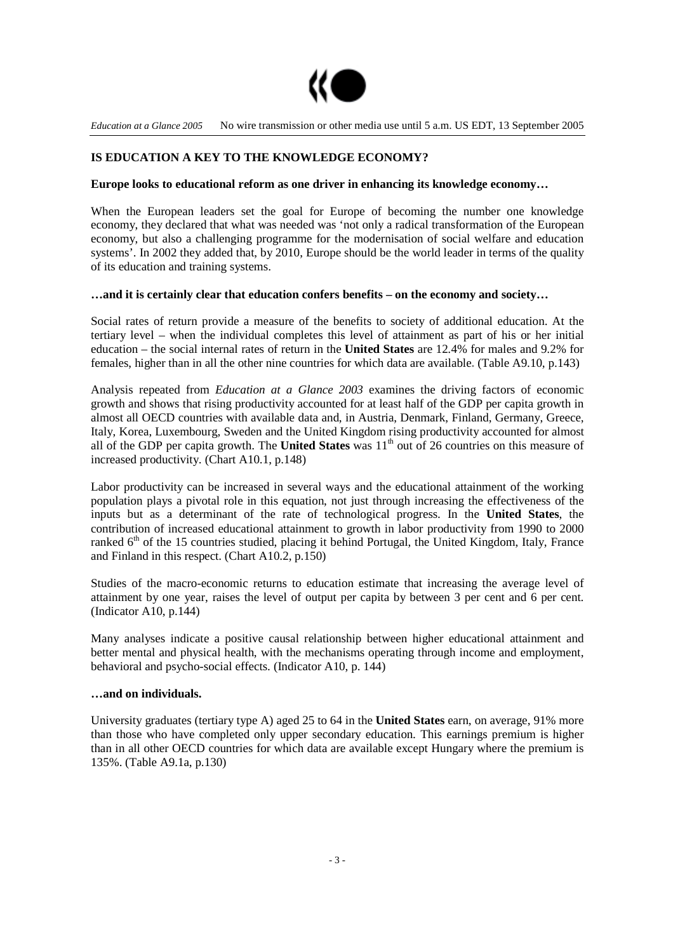

# **IS EDUCATION A KEY TO THE KNOWLEDGE ECONOMY?**

#### **Europe looks to educational reform as one driver in enhancing its knowledge economy…**

When the European leaders set the goal for Europe of becoming the number one knowledge economy, they declared that what was needed was 'not only a radical transformation of the European economy, but also a challenging programme for the modernisation of social welfare and education systems'. In 2002 they added that, by 2010, Europe should be the world leader in terms of the quality of its education and training systems.

#### **…and it is certainly clear that education confers benefits – on the economy and society…**

Social rates of return provide a measure of the benefits to society of additional education. At the tertiary level – when the individual completes this level of attainment as part of his or her initial education – the social internal rates of return in the **United States** are 12.4% for males and 9.2% for females, higher than in all the other nine countries for which data are available**.** (Table A9.10, p.143)

Analysis repeated from *Education at a Glance 2003* examines the driving factors of economic growth and shows that rising productivity accounted for at least half of the GDP per capita growth in almost all OECD countries with available data and, in Austria, Denmark, Finland, Germany, Greece, Italy, Korea, Luxembourg, Sweden and the United Kingdom rising productivity accounted for almost all of the GDP per capita growth. The **United States** was 11<sup>th</sup> out of 26 countries on this measure of increased productivity. (Chart A10.1, p.148)

Labor productivity can be increased in several ways and the educational attainment of the working population plays a pivotal role in this equation, not just through increasing the effectiveness of the inputs but as a determinant of the rate of technological progress. In the **United States**, the contribution of increased educational attainment to growth in labor productivity from 1990 to 2000 ranked 6<sup>th</sup> of the 15 countries studied, placing it behind Portugal, the United Kingdom, Italy, France and Finland in this respect. (Chart A10.2, p.150)

Studies of the macro-economic returns to education estimate that increasing the average level of attainment by one year, raises the level of output per capita by between 3 per cent and 6 per cent. (Indicator A10, p.144)

Many analyses indicate a positive causal relationship between higher educational attainment and better mental and physical health, with the mechanisms operating through income and employment, behavioral and psycho-social effects. (Indicator A10, p. 144)

#### **…and on individuals.**

University graduates (tertiary type A) aged 25 to 64 in the **United States** earn, on average, 91% more than those who have completed only upper secondary education. This earnings premium is higher than in all other OECD countries for which data are available except Hungary where the premium is 135%. (Table A9.1a, p.130)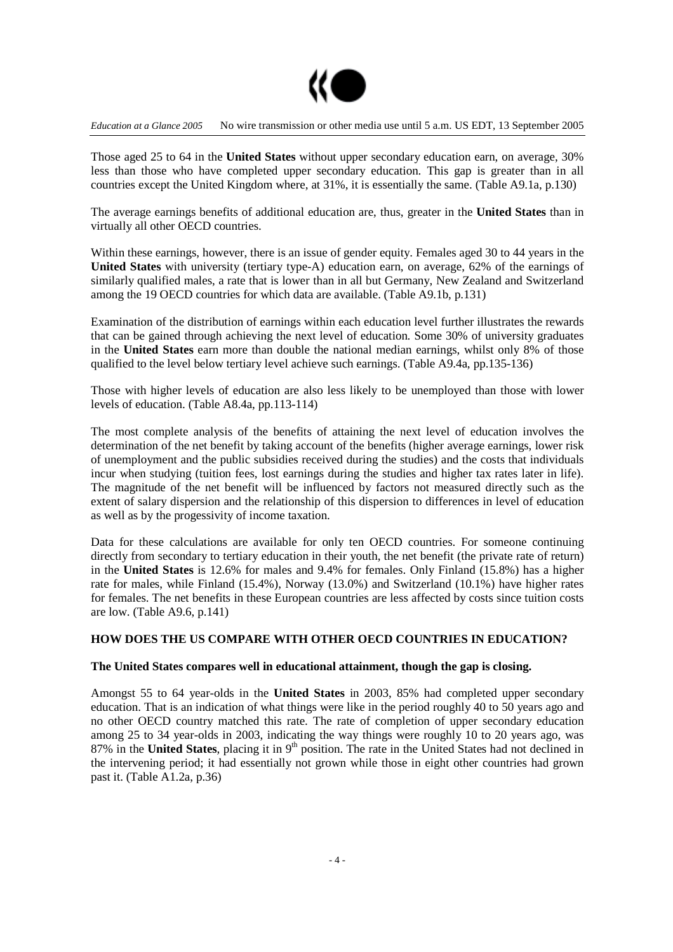

Those aged 25 to 64 in the **United States** without upper secondary education earn, on average, 30% less than those who have completed upper secondary education. This gap is greater than in all countries except the United Kingdom where, at 31%, it is essentially the same. (Table A9.1a, p.130)

The average earnings benefits of additional education are, thus, greater in the **United States** than in virtually all other OECD countries.

Within these earnings, however, there is an issue of gender equity. Females aged 30 to 44 years in the **United States** with university (tertiary type-A) education earn, on average, 62% of the earnings of similarly qualified males, a rate that is lower than in all but Germany, New Zealand and Switzerland among the 19 OECD countries for which data are available. (Table A9.1b, p.131)

Examination of the distribution of earnings within each education level further illustrates the rewards that can be gained through achieving the next level of education. Some 30% of university graduates in the **United States** earn more than double the national median earnings, whilst only 8% of those qualified to the level below tertiary level achieve such earnings. (Table A9.4a, pp.135-136)

Those with higher levels of education are also less likely to be unemployed than those with lower levels of education. (Table A8.4a, pp.113-114)

The most complete analysis of the benefits of attaining the next level of education involves the determination of the net benefit by taking account of the benefits (higher average earnings, lower risk of unemployment and the public subsidies received during the studies) and the costs that individuals incur when studying (tuition fees, lost earnings during the studies and higher tax rates later in life). The magnitude of the net benefit will be influenced by factors not measured directly such as the extent of salary dispersion and the relationship of this dispersion to differences in level of education as well as by the progessivity of income taxation.

Data for these calculations are available for only ten OECD countries. For someone continuing directly from secondary to tertiary education in their youth, the net benefit (the private rate of return) in the **United States** is 12.6% for males and 9.4% for females. Only Finland (15.8%) has a higher rate for males, while Finland (15.4%), Norway (13.0%) and Switzerland (10.1%) have higher rates for females. The net benefits in these European countries are less affected by costs since tuition costs are low. (Table A9.6, p.141)

# **HOW DOES THE US COMPARE WITH OTHER OECD COUNTRIES IN EDUCATION?**

#### **The United States compares well in educational attainment, though the gap is closing.**

Amongst 55 to 64 year-olds in the **United States** in 2003, 85% had completed upper secondary education. That is an indication of what things were like in the period roughly 40 to 50 years ago and no other OECD country matched this rate. The rate of completion of upper secondary education among 25 to 34 year-olds in 2003, indicating the way things were roughly 10 to 20 years ago, was 87% in the **United States**, placing it in 9<sup>th</sup> position. The rate in the United States had not declined in the intervening period; it had essentially not grown while those in eight other countries had grown past it. (Table A1.2a, p.36)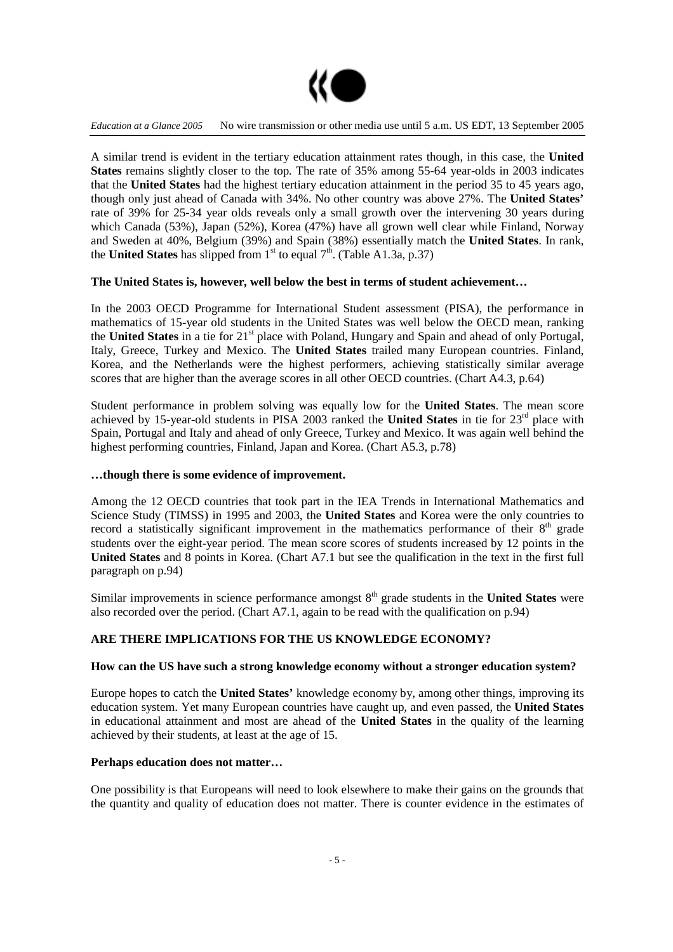

A similar trend is evident in the tertiary education attainment rates though, in this case, the **United States** remains slightly closer to the top. The rate of 35% among 55-64 year-olds in 2003 indicates that the **United States** had the highest tertiary education attainment in the period 35 to 45 years ago, though only just ahead of Canada with 34%. No other country was above 27%. The **United States'** rate of 39% for 25-34 year olds reveals only a small growth over the intervening 30 years during which Canada (53%), Japan (52%), Korea (47%) have all grown well clear while Finland, Norway and Sweden at 40%, Belgium (39%) and Spain (38%) essentially match the **United States**. In rank, the **United States** has slipped from  $1^{st}$  to equal  $7^{th}$ . (Table A1.3a, p.37)

# **The United States is, however, well below the best in terms of student achievement…**

In the 2003 OECD Programme for International Student assessment (PISA), the performance in mathematics of 15-year old students in the United States was well below the OECD mean, ranking the United States in a tie for 21<sup>st</sup> place with Poland, Hungary and Spain and ahead of only Portugal, Italy, Greece, Turkey and Mexico. The **United States** trailed many European countries. Finland, Korea, and the Netherlands were the highest performers, achieving statistically similar average scores that are higher than the average scores in all other OECD countries. (Chart A4.3, p.64)

Student performance in problem solving was equally low for the **United States**. The mean score achieved by 15-year-old students in PISA 2003 ranked the United States in tie for 23<sup>rd</sup> place with Spain, Portugal and Italy and ahead of only Greece, Turkey and Mexico. It was again well behind the highest performing countries, Finland, Japan and Korea. (Chart A5.3, p.78)

#### **…though there is some evidence of improvement.**

Among the 12 OECD countries that took part in the IEA Trends in International Mathematics and Science Study (TIMSS) in 1995 and 2003, the **United States** and Korea were the only countries to record a statistically significant improvement in the mathematics performance of their  $8<sup>th</sup>$  grade students over the eight-year period. The mean score scores of students increased by 12 points in the **United States** and 8 points in Korea. (Chart A7.1 but see the qualification in the text in the first full paragraph on p.94)

Similar improvements in science performance amongst 8<sup>th</sup> grade students in the **United States** were also recorded over the period. (Chart A7.1, again to be read with the qualification on p.94)

# **ARE THERE IMPLICATIONS FOR THE US KNOWLEDGE ECONOMY?**

#### **How can the US have such a strong knowledge economy without a stronger education system?**

Europe hopes to catch the **United States'** knowledge economy by, among other things, improving its education system. Yet many European countries have caught up, and even passed, the **United States** in educational attainment and most are ahead of the **United States** in the quality of the learning achieved by their students, at least at the age of 15.

# **Perhaps education does not matter…**

One possibility is that Europeans will need to look elsewhere to make their gains on the grounds that the quantity and quality of education does not matter. There is counter evidence in the estimates of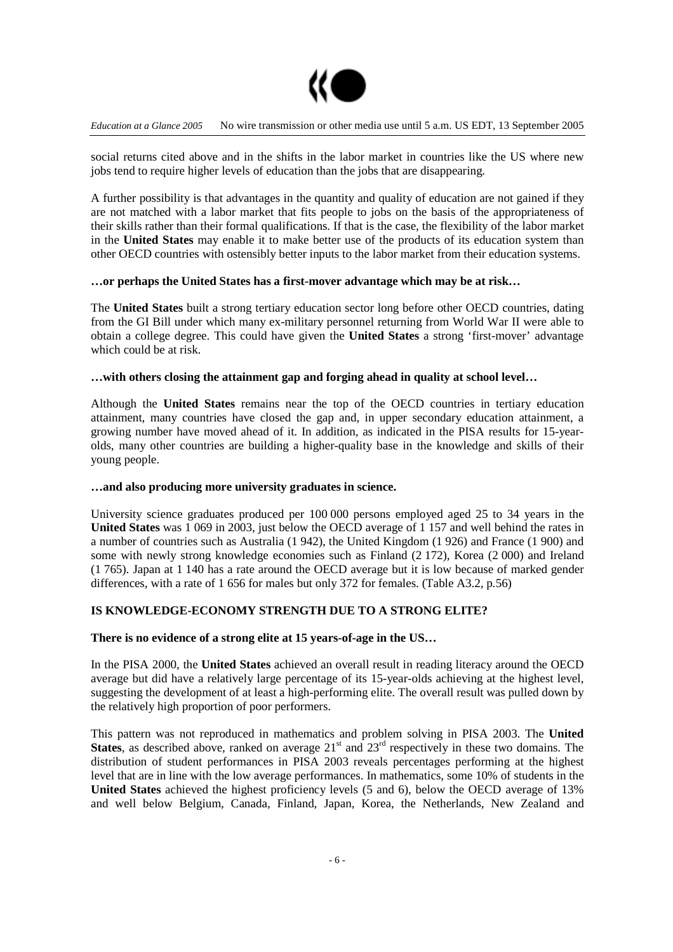

social returns cited above and in the shifts in the labor market in countries like the US where new jobs tend to require higher levels of education than the jobs that are disappearing.

A further possibility is that advantages in the quantity and quality of education are not gained if they are not matched with a labor market that fits people to jobs on the basis of the appropriateness of their skills rather than their formal qualifications. If that is the case, the flexibility of the labor market in the **United States** may enable it to make better use of the products of its education system than other OECD countries with ostensibly better inputs to the labor market from their education systems.

# **…or perhaps the United States has a first-mover advantage which may be at risk…**

The **United States** built a strong tertiary education sector long before other OECD countries, dating from the GI Bill under which many ex-military personnel returning from World War II were able to obtain a college degree. This could have given the **United States** a strong 'first-mover' advantage which could be at risk.

# **…with others closing the attainment gap and forging ahead in quality at school level…**

Although the **United States** remains near the top of the OECD countries in tertiary education attainment, many countries have closed the gap and, in upper secondary education attainment, a growing number have moved ahead of it. In addition, as indicated in the PISA results for 15-yearolds, many other countries are building a higher-quality base in the knowledge and skills of their young people.

#### **…and also producing more university graduates in science.**

University science graduates produced per 100 000 persons employed aged 25 to 34 years in the **United States** was 1 069 in 2003, just below the OECD average of 1 157 and well behind the rates in a number of countries such as Australia (1 942), the United Kingdom (1 926) and France (1 900) and some with newly strong knowledge economies such as Finland (2 172), Korea (2 000) and Ireland (1 765). Japan at 1 140 has a rate around the OECD average but it is low because of marked gender differences, with a rate of 1 656 for males but only 372 for females. (Table A3.2, p.56)

# **IS KNOWLEDGE-ECONOMY STRENGTH DUE TO A STRONG ELITE?**

# **There is no evidence of a strong elite at 15 years-of-age in the US…**

In the PISA 2000, the **United States** achieved an overall result in reading literacy around the OECD average but did have a relatively large percentage of its 15-year-olds achieving at the highest level, suggesting the development of at least a high-performing elite. The overall result was pulled down by the relatively high proportion of poor performers.

This pattern was not reproduced in mathematics and problem solving in PISA 2003. The **United States**, as described above, ranked on average  $21<sup>st</sup>$  and  $23<sup>rd</sup>$  respectively in these two domains. The distribution of student performances in PISA 2003 reveals percentages performing at the highest level that are in line with the low average performances. In mathematics, some 10% of students in the **United States** achieved the highest proficiency levels (5 and 6), below the OECD average of 13% and well below Belgium, Canada, Finland, Japan, Korea, the Netherlands, New Zealand and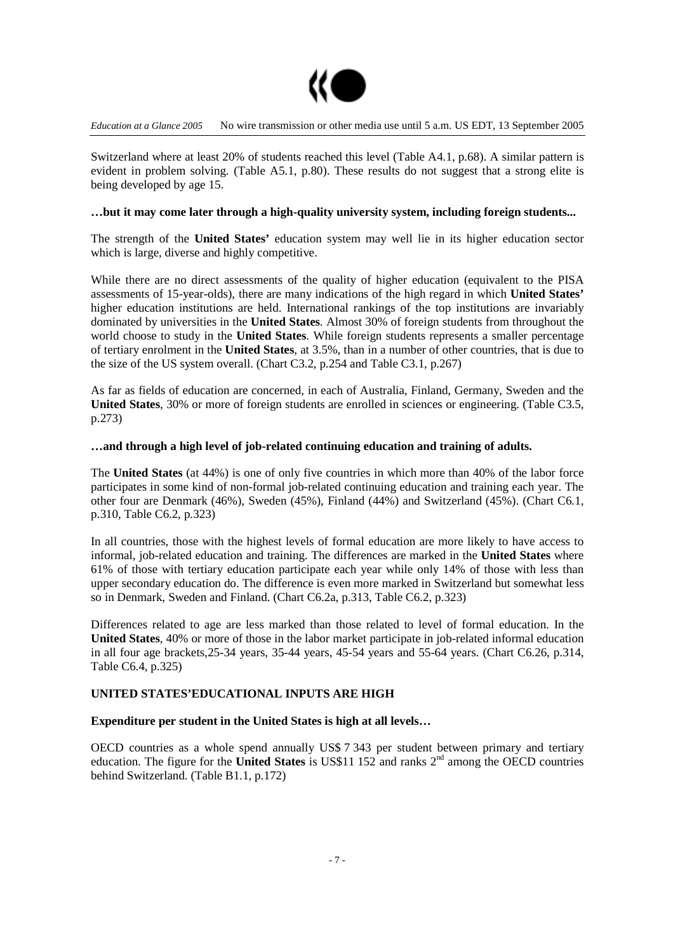

Switzerland where at least 20% of students reached this level (Table A4.1, p.68). A similar pattern is evident in problem solving. (Table A5.1, p.80). These results do not suggest that a strong elite is being developed by age 15.

#### **…but it may come later through a high-quality university system, including foreign students...**

The strength of the **United States'** education system may well lie in its higher education sector which is large, diverse and highly competitive.

While there are no direct assessments of the quality of higher education (equivalent to the PISA assessments of 15-year-olds), there are many indications of the high regard in which **United States'** higher education institutions are held. International rankings of the top institutions are invariably dominated by universities in the **United States**. Almost 30% of foreign students from throughout the world choose to study in the **United States**. While foreign students represents a smaller percentage of tertiary enrolment in the **United States**, at 3.5%, than in a number of other countries, that is due to the size of the US system overall. (Chart C3.2, p.254 and Table C3.1, p.267)

As far as fields of education are concerned, in each of Australia, Finland, Germany, Sweden and the **United States**, 30% or more of foreign students are enrolled in sciences or engineering. (Table C3.5, p.273)

#### **…and through a high level of job-related continuing education and training of adults.**

The **United States** (at 44%) is one of only five countries in which more than 40% of the labor force participates in some kind of non-formal job-related continuing education and training each year. The other four are Denmark (46%), Sweden (45%), Finland (44%) and Switzerland (45%). (Chart C6.1, p.310, Table C6.2, p.323)

In all countries, those with the highest levels of formal education are more likely to have access to informal, job-related education and training. The differences are marked in the **United States** where 61% of those with tertiary education participate each year while only 14% of those with less than upper secondary education do. The difference is even more marked in Switzerland but somewhat less so in Denmark, Sweden and Finland. (Chart C6.2a, p.313, Table C6.2, p.323)

Differences related to age are less marked than those related to level of formal education. In the **United States**, 40% or more of those in the labor market participate in job-related informal education in all four age brackets,25-34 years, 35-44 years, 45-54 years and 55-64 years. (Chart C6.26, p.314, Table C6.4, p.325)

# **UNITED STATES'EDUCATIONAL INPUTS ARE HIGH**

#### **Expenditure per student in the United States is high at all levels…**

OECD countries as a whole spend annually US\$ 7 343 per student between primary and tertiary education. The figure for the **United States** is US\$11 152 and ranks 2<sup>nd</sup> among the OECD countries behind Switzerland. (Table B1.1, p.172)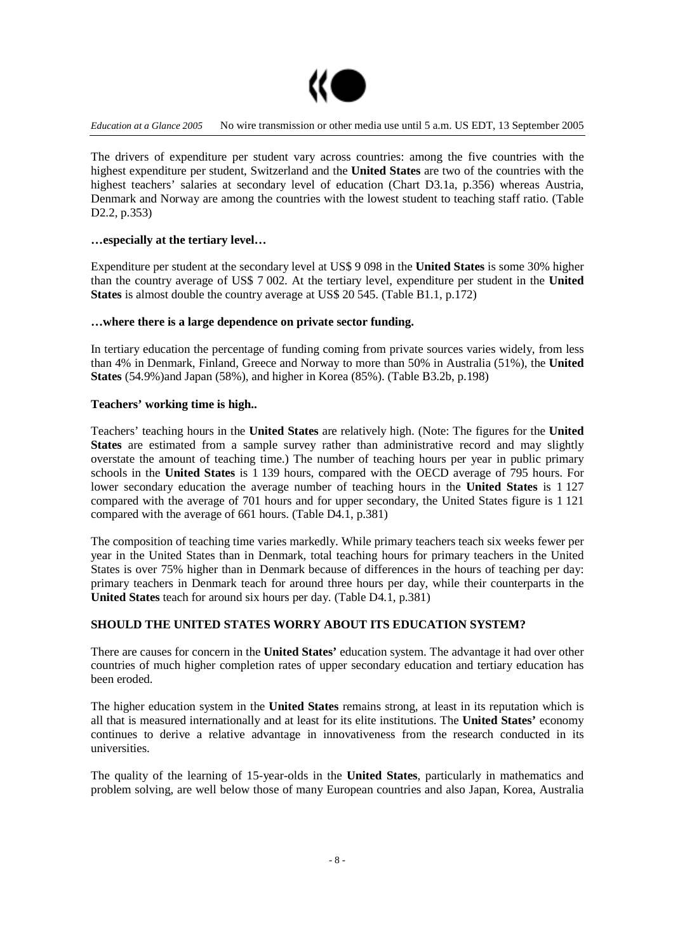

The drivers of expenditure per student vary across countries: among the five countries with the highest expenditure per student, Switzerland and the **United States** are two of the countries with the highest teachers' salaries at secondary level of education (Chart D3.1a, p.356) whereas Austria, Denmark and Norway are among the countries with the lowest student to teaching staff ratio. (Table D<sub>2</sub>.2, p.353)

# **…especially at the tertiary level…**

Expenditure per student at the secondary level at US\$ 9 098 in the **United States** is some 30% higher than the country average of US\$ 7 002. At the tertiary level, expenditure per student in the **United States** is almost double the country average at US\$ 20 545. (Table B1.1, p.172)

# **…where there is a large dependence on private sector funding.**

In tertiary education the percentage of funding coming from private sources varies widely, from less than 4% in Denmark, Finland, Greece and Norway to more than 50% in Australia (51%), the **United States** (54.9%)and Japan (58%), and higher in Korea (85%). (Table B3.2b, p.198)

# **Teachers' working time is high..**

Teachers' teaching hours in the **United States** are relatively high. (Note: The figures for the **United States** are estimated from a sample survey rather than administrative record and may slightly overstate the amount of teaching time.) The number of teaching hours per year in public primary schools in the **United States** is 1 139 hours, compared with the OECD average of 795 hours. For lower secondary education the average number of teaching hours in the **United States** is 1 127 compared with the average of 701 hours and for upper secondary, the United States figure is 1 121 compared with the average of 661 hours. (Table D4.1, p.381)

The composition of teaching time varies markedly. While primary teachers teach six weeks fewer per year in the United States than in Denmark, total teaching hours for primary teachers in the United States is over 75% higher than in Denmark because of differences in the hours of teaching per day: primary teachers in Denmark teach for around three hours per day, while their counterparts in the **United States** teach for around six hours per day. (Table D4.1, p.381)

# **SHOULD THE UNITED STATES WORRY ABOUT ITS EDUCATION SYSTEM?**

There are causes for concern in the **United States'** education system. The advantage it had over other countries of much higher completion rates of upper secondary education and tertiary education has been eroded.

The higher education system in the **United States** remains strong, at least in its reputation which is all that is measured internationally and at least for its elite institutions. The **United States'** economy continues to derive a relative advantage in innovativeness from the research conducted in its universities.

The quality of the learning of 15-year-olds in the **United States**, particularly in mathematics and problem solving, are well below those of many European countries and also Japan, Korea, Australia